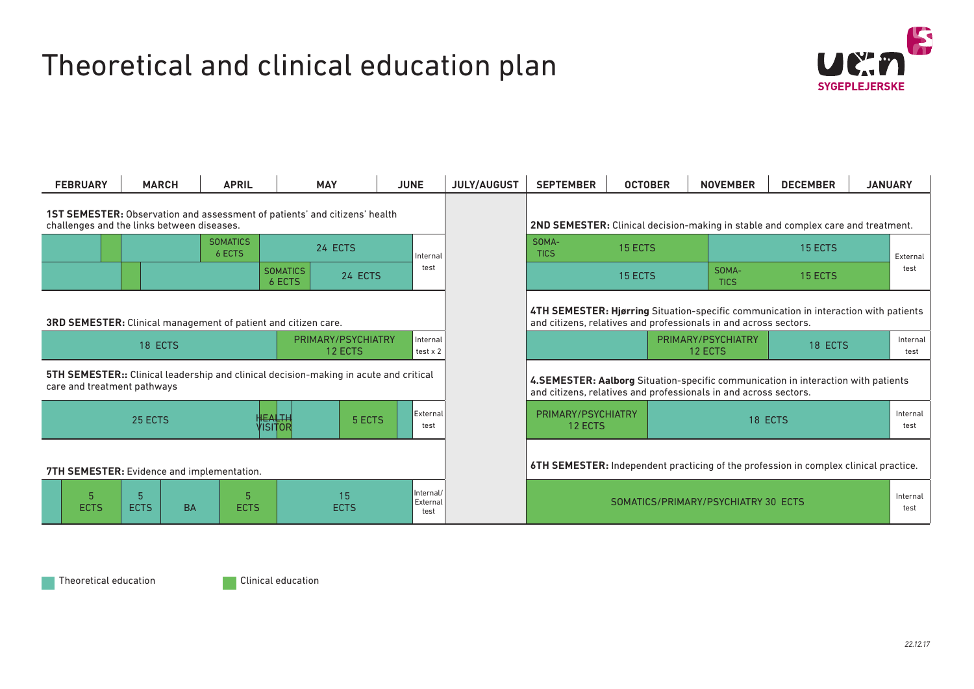## Theoretical and clinical education plan



|                                                                                                                                 | <b>FEBRUARY</b>                                                | <b>MARCH</b>                                                                                                         |  | <b>APRIL</b> | <b>MAY</b>                |         | <b>JUNE</b>                         | <b>JULY/AUGUST</b> | <b>SEPTEMBER</b>                                                 | <b>OCTOBER</b> |                                          | <b>NOVEMBER</b>                                                                      | <b>DECEMBER</b>                                                                      | <b>JANUARY</b>   |                  |
|---------------------------------------------------------------------------------------------------------------------------------|----------------------------------------------------------------|----------------------------------------------------------------------------------------------------------------------|--|--------------|---------------------------|---------|-------------------------------------|--------------------|------------------------------------------------------------------|----------------|------------------------------------------|--------------------------------------------------------------------------------------|--------------------------------------------------------------------------------------|------------------|------------------|
| <b>1ST SEMESTER:</b> Observation and assessment of patients' and citizens' health<br>challenges and the links between diseases. |                                                                |                                                                                                                      |  |              |                           |         |                                     |                    |                                                                  |                |                                          |                                                                                      | 2ND SEMESTER: Clinical decision-making in stable and complex care and treatment.     |                  |                  |
|                                                                                                                                 | <b>SOMATICS</b><br>6 ECTS                                      |                                                                                                                      |  | 24 ECTS      | Internal                  |         | SOMA-<br><b>TICS</b>                | 15 ECTS            |                                                                  | 15 ECTS        |                                          |                                                                                      | External                                                                             |                  |                  |
|                                                                                                                                 |                                                                |                                                                                                                      |  |              | <b>SOMATICS</b><br>6 ECTS | 24 ECTS | test                                |                    |                                                                  | 15 ECTS        |                                          | SOMA-<br><b>TICS</b>                                                                 | 15 ECTS                                                                              |                  | test             |
|                                                                                                                                 | 3RD SEMESTER: Clinical management of patient and citizen care. |                                                                                                                      |  |              |                           |         |                                     |                    | and citizens, relatives and professionals in and across sectors. |                |                                          |                                                                                      | 4TH SEMESTER: Hjørring Situation-specific communication in interaction with patients |                  |                  |
| PRIMARY/PSYCHIATRY<br>Internal<br>18 ECTS<br>12 ECTS<br>test x 2                                                                |                                                                |                                                                                                                      |  |              |                           |         |                                     |                    |                                                                  |                | PRIMARY/PSYCHIATRY<br>18 ECTS<br>12 ECTS |                                                                                      |                                                                                      | Internal<br>test |                  |
| <b>5TH SEMESTER::</b> Clinical leadership and clinical decision-making in acute and critical<br>care and treatment pathways     |                                                                |                                                                                                                      |  |              |                           |         |                                     |                    | and citizens, relatives and professionals in and across sectors. |                |                                          |                                                                                      | 4.SEMESTER: Aalborg Situation-specific communication in interaction with patients    |                  |                  |
| 25 ECTS                                                                                                                         |                                                                |                                                                                                                      |  |              | <b>HEALTH</b><br>VISITOR  | 5 ECTS  | External<br>test                    |                    | PRIMARY/PSYCHIATRY<br>12 ECTS                                    |                |                                          | 18 ECTS                                                                              |                                                                                      |                  | Internal<br>test |
| 7TH SEMESTER: Evidence and implementation.                                                                                      |                                                                |                                                                                                                      |  |              |                           |         |                                     |                    |                                                                  |                |                                          | 6TH SEMESTER: Independent practicing of the profession in complex clinical practice. |                                                                                      |                  |                  |
|                                                                                                                                 | <b>ECTS</b>                                                    | Internal/<br>5 <sup>5</sup><br>15<br>5<br>External<br><b>ECTS</b><br><b>BA</b><br><b>ECTS</b><br><b>ECTS</b><br>test |  |              |                           |         | SOMATICS/PRIMARY/PSYCHIATRY 30 ECTS |                    |                                                                  |                |                                          |                                                                                      | Internal<br>test                                                                     |                  |                  |

| Theoretical education | Clinical education